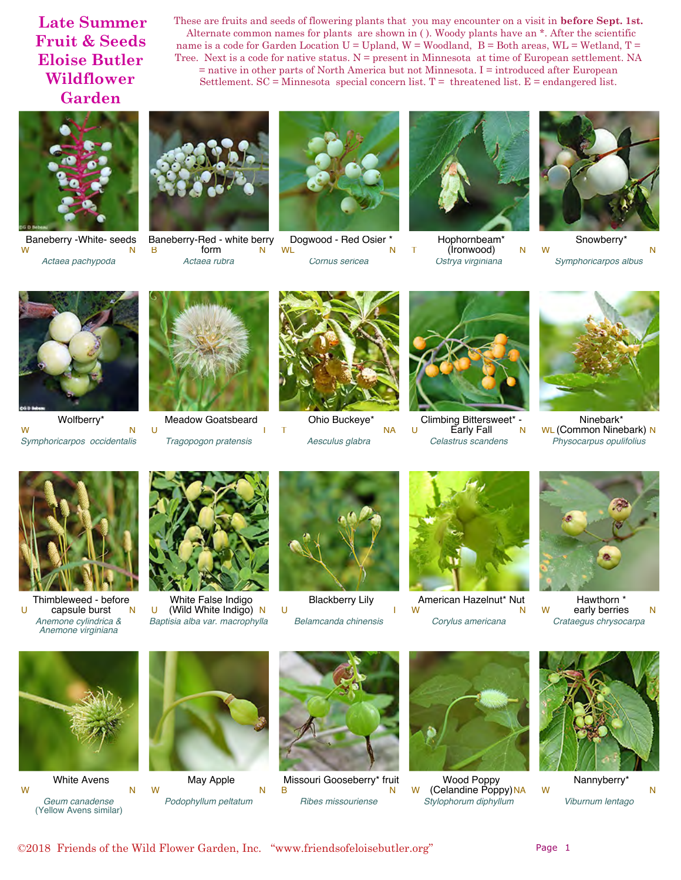These are fruits and seeds of flowering plants that you may encounter on a visit in **before Sept. 1st.** Alternate common names for plants are shown in ( ). Woody plants have an \*. After the scientific name is a code for Garden Location  $U = U$ pland,  $W = W$ oodland,  $B = B$ oth areas,  $WL = W$ etland,  $T =$ Tree. Next is a code for native status.  $N =$  present in Minnesota at time of European settlement. NA = native in other parts of North America but not Minnesota. I = introduced after European Settlement.  $SC =$ Minnesota special concern list.  $T =$  threatened list.  $E =$  endangered list.



Baneberry -White- seeds *Actaea pachypoda* W N



Baneberry-Red - white berry<br>B form  $N$ B form N *Actaea rubra*



Dogwood - Red Osier \* *Cornus sericea* WL N



Hophornbeam\* T (İronwood) N *Ostrya virginiana*



Snowberry\* *Symphoricarpos albus* W N



Wolfberry\* *Symphoricarpos occidentalis* W N



Meadow Goatsbeard U I

*Tragopogon pratensis*



Ohio Buckeye\* *Aesculus glabra* T NA



Climbing Bittersweet\* U Early Fall N *Celastrus scandens*



Ninebark\* WL (Common Ninebark) N *Physocarpus opulifolius*



Thimbleweed - before  $U$  capsule burst N *Anemone cylindrica & Anemone virginiana*



White False Indigo  $U$  (Wild White Indigo) N *Baptisia alba var. macrophylla*



Blackberry Lily *Belamcanda chinensis* U I



American Hazelnut\* Nut *Corylus americana* W N



Hawthorn \* W early berries N *Crataegus chrysocarpa*



White Avens *Geum canadense* (Yellow Avens similar) W N



May Apple *Podophyllum peltatum* W N



Missouri Gooseberry\* fruit<br>B *Ribes missouriense* B N



Wood Poppy W (Celandine Poppy) NA *Stylophorum diphyllum*



Nannyberry\* *Viburnum lentago* W N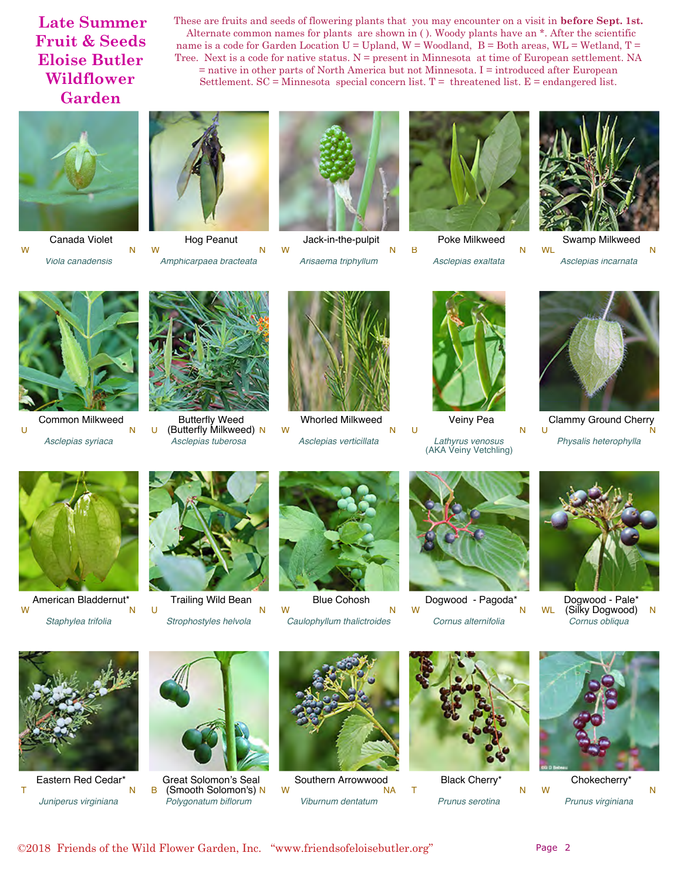These are fruits and seeds of flowering plants that you may encounter on a visit in **before Sept. 1st.** Alternate common names for plants are shown in ( ). Woody plants have an \*. After the scientific name is a code for Garden Location  $U = U$ pland,  $W = W$ oodland,  $B = B$ oth areas,  $WL = W$ etland,  $T =$ Tree. Next is a code for native status.  $N =$  present in Minnesota at time of European settlement. NA  $=$  native in other parts of North America but not Minnesota. I  $=$  introduced after European Settlement.  $SC =$ Minnesota special concern list.  $T =$  threatened list.  $E =$  endangered list.



Canada Violet *Viola canadensis* W N



Hog Peanut *Amphicarpaea bracteata* W N



Jack-in-the-pulpit *Arisaema triphyllum* W N



Poke Milkweed *Asclepias exaltata* B N



Swamp Milkweed *Asclepias incarnata* WL N



Common Milkweed *Asclepias syriaca* U N



Butterfly Weed U (Butterfly Milkweed) N *Asclepias tuberosa*



Whorled Milkweed *Asclepias verticillata* W N



Veiny Pea *Lathyrus venosus* (AKA Veiny Vetchling) U N



Clammy Ground Cherry<br>U *Physalis heterophylla* U N



American Bladdernut<sup>\*</sup> *Staphylea trifolia* W N



Trailing Wild Bean *Strophostyles helvola* U N

Blue Cohosh *Caulophyllum thalictroides* W N



Dogwood - Pagoda\* *Cornus alternifolia* W N



Dogwood - Pale\* WL (Silky Dogwood) N *Cornus obliqua*



Eastern Red Cedar\* *Juniperus virginiana* T N



Great Solomon's Seal B (Smooth Solomon's) N *Polygonatum biflorum*



Southern Arrowwood *Viburnum dentatum* W NA



Black Cherry\* *Prunus serotina* T N



Chokecherry\* *Prunus virginiana* W N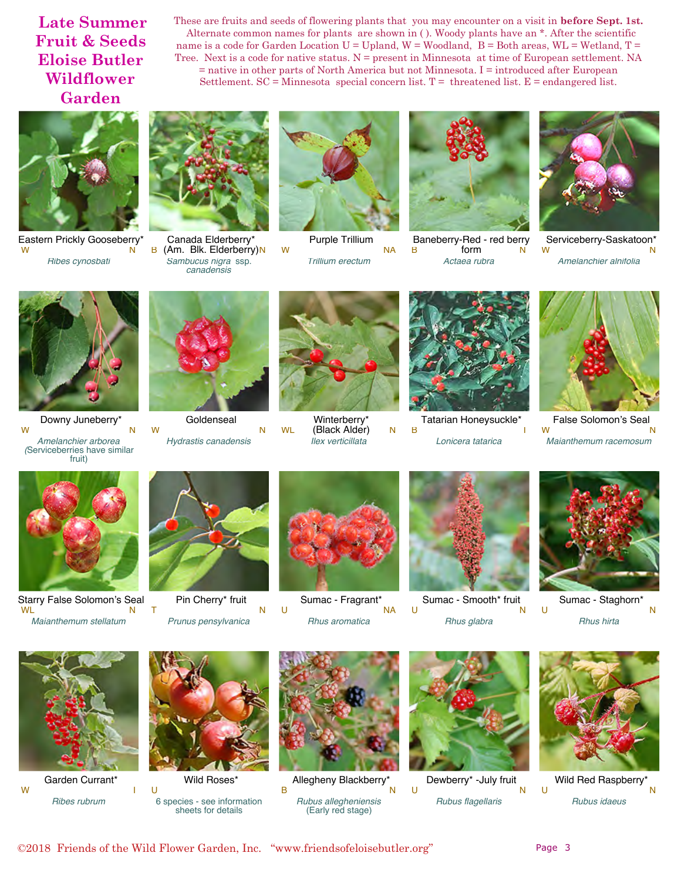These are fruits and seeds of flowering plants that you may encounter on a visit in **before Sept. 1st.** Alternate common names for plants are shown in ( ). Woody plants have an \*. After the scientific name is a code for Garden Location  $U = U$ pland,  $W = W$ oodland,  $B = B$ oth areas,  $WL = W$ etland,  $T =$ Tree. Next is a code for native status.  $N =$  present in Minnesota at time of European settlement. NA = native in other parts of North America but not Minnesota. I = introduced after European Settlement.  $SC =$ Minnesota special concern list.  $T =$  threatened list.  $E =$  endangered list.



Eastern Prickly Gooseberry<sup>\*</sup> *Ribes cynosbati* W N



Canada Elderberry\* B (Am. Blk. Elderberry)N *Sambucus nigra* ssp. *canadensis*



Purple Trillium *Trillium erectum* W NA



Baneberry-Red - red berry<br>B<br>N B form N *Actaea rubra*



Serviceberry-Saskatoon\*<br>W *Amelanchier alnifolia* W N



Downy Juneberry\* *Amelanchier arborea (*Serviceberries have similar fruit) W N



**Goldenseal** W N

*Hydrastis canadensis*



Winterberry\* WL (Black Alder) N *Ilex verticillata*



Tatarian Honeysuckle\* *Lonicera tatarica* B I



False Solomon's Seal *Maianthemum racemosum* W N



Starry False Solomon's Seal *Maianthemum stellatum* WL N



Pin Cherry\* fruit *Prunus pensylvanica* T N



Sumac - Fragrant\* *Rhus aromatica* U NA



Sumac - Smooth\* fruit *Rhus glabra* U N



Sumac - Staghorn\* *Rhus hirta* U N



Garden Currant\* *Ribes rubrum* W I



Wild Roses\* 6 species - see information sheets for details U



Allegheny Blackberry\* *Rubus allegheniensis* (Early red stage) B N



Dewberry\* -July fruit *Rubus flagellaris* U N



Wild Red Raspberry\* *Rubus idaeus* U N